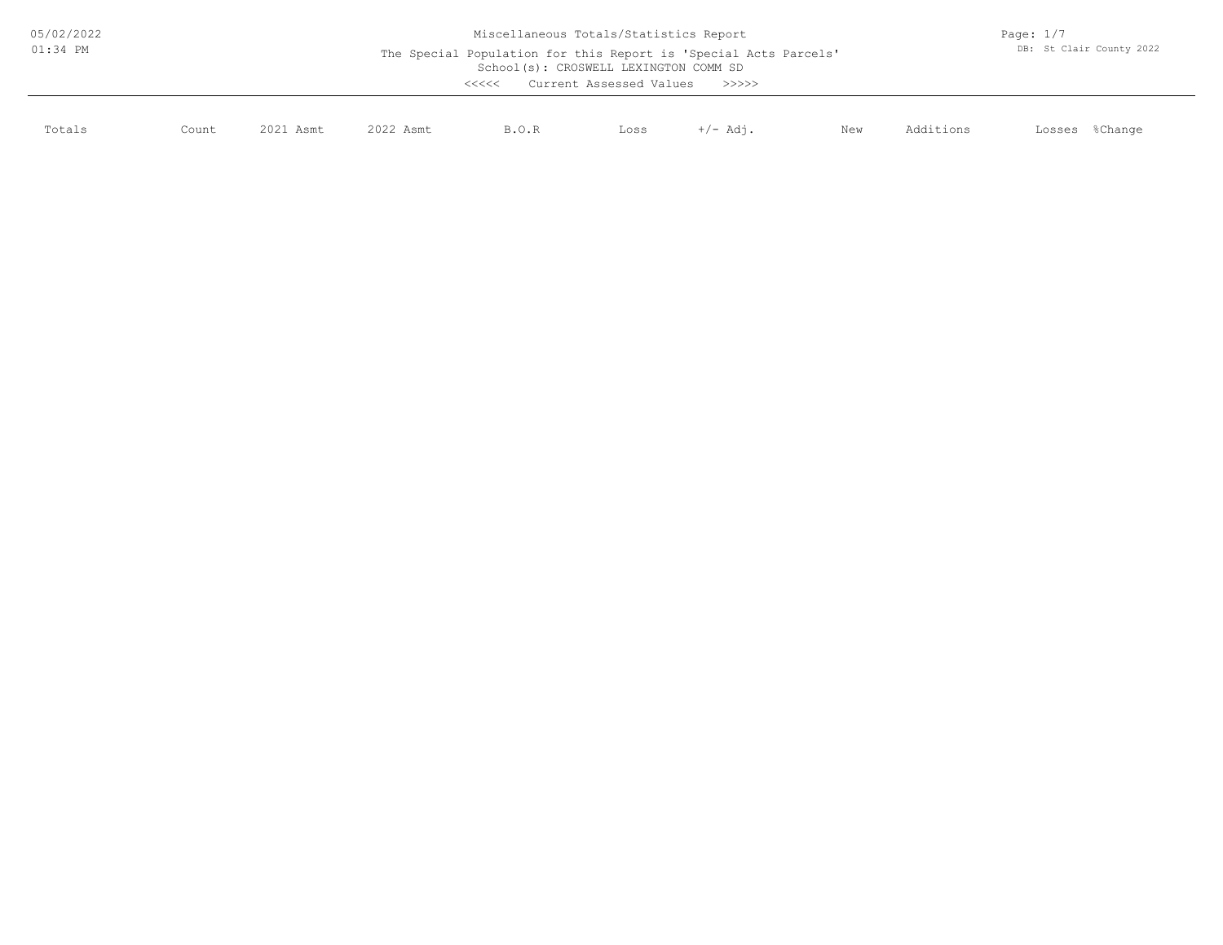| 05/02/2022<br>$01:34$ PM | Miscellaneous Totals/Statistics Report<br>The Special Population for this Report is 'Special Acts Parcels'<br>School(s): CROSWELL LEXINGTON COMM SD<br>Current Assessed Values<br><<<<<br>>>>>> |           |           |       |      |          |     |           | Page: $1/7$<br>DB: St Clair County 2022 |  |  |
|--------------------------|-------------------------------------------------------------------------------------------------------------------------------------------------------------------------------------------------|-----------|-----------|-------|------|----------|-----|-----------|-----------------------------------------|--|--|
| Totals                   | Count                                                                                                                                                                                           | 2021 Asmt | 2022 Asmt | B.O.R | Loss | +/- Adi. | New | Additions | %Change<br>Losses                       |  |  |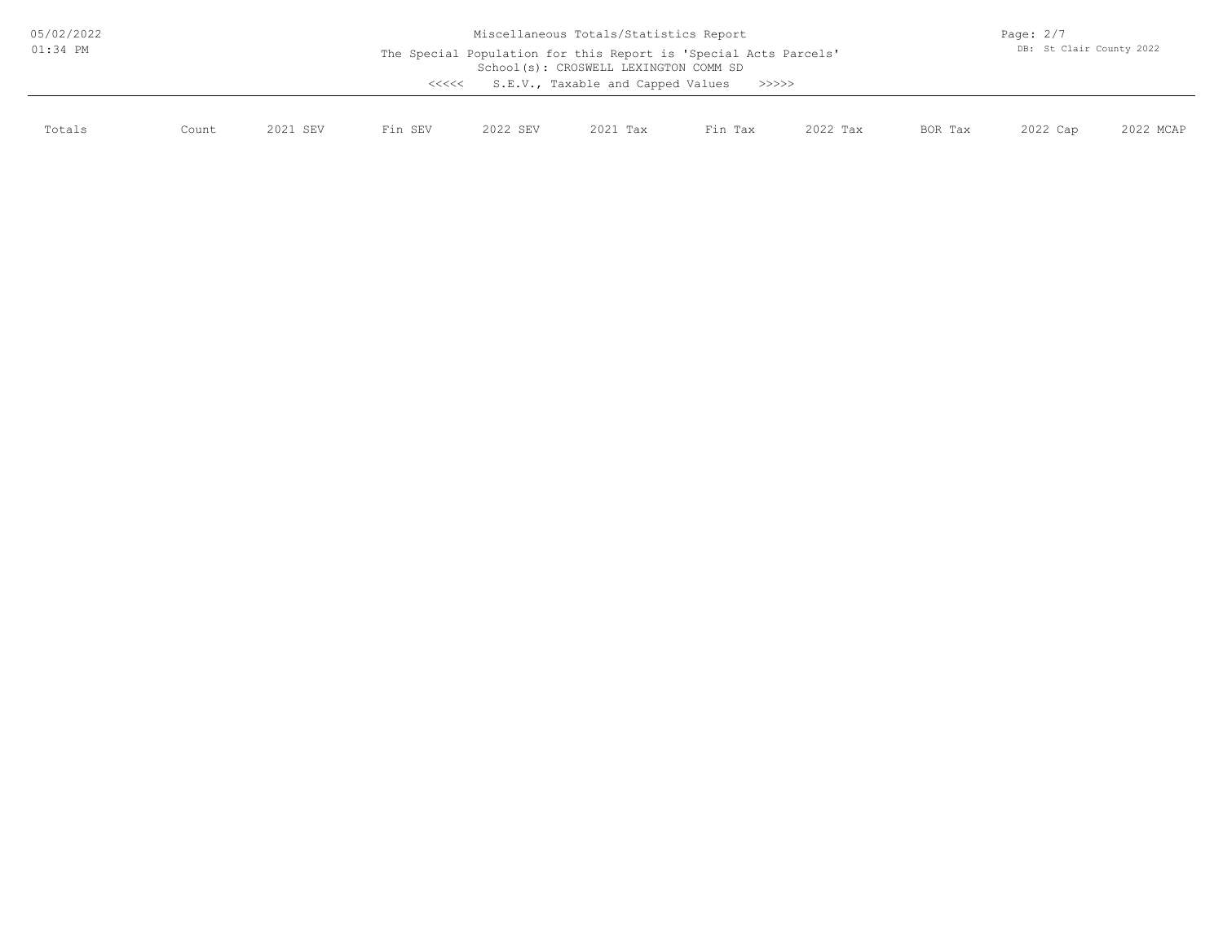| 05/02/2022<br>$01:34$ PM |       | Miscellaneous Totals/Statistics Report<br>The Special Population for this Report is 'Special Acts Parcels'<br>School(s): CROSWELL LEXINGTON COMM SD<br>S.E.V., Taxable and Capped Values<br>>>>>><br><<<< |         |          |          |         |          |         | Page: $2/7$<br>DB: St Clair County 2022 |           |  |
|--------------------------|-------|-----------------------------------------------------------------------------------------------------------------------------------------------------------------------------------------------------------|---------|----------|----------|---------|----------|---------|-----------------------------------------|-----------|--|
| Totals                   | Count | 2021 SEV                                                                                                                                                                                                  | Fin SEV | 2022 SEV | 2021 Tax | Fin Tax | 2022 Tax | BOR Tax | 2022 Cap                                | 2022 MCAP |  |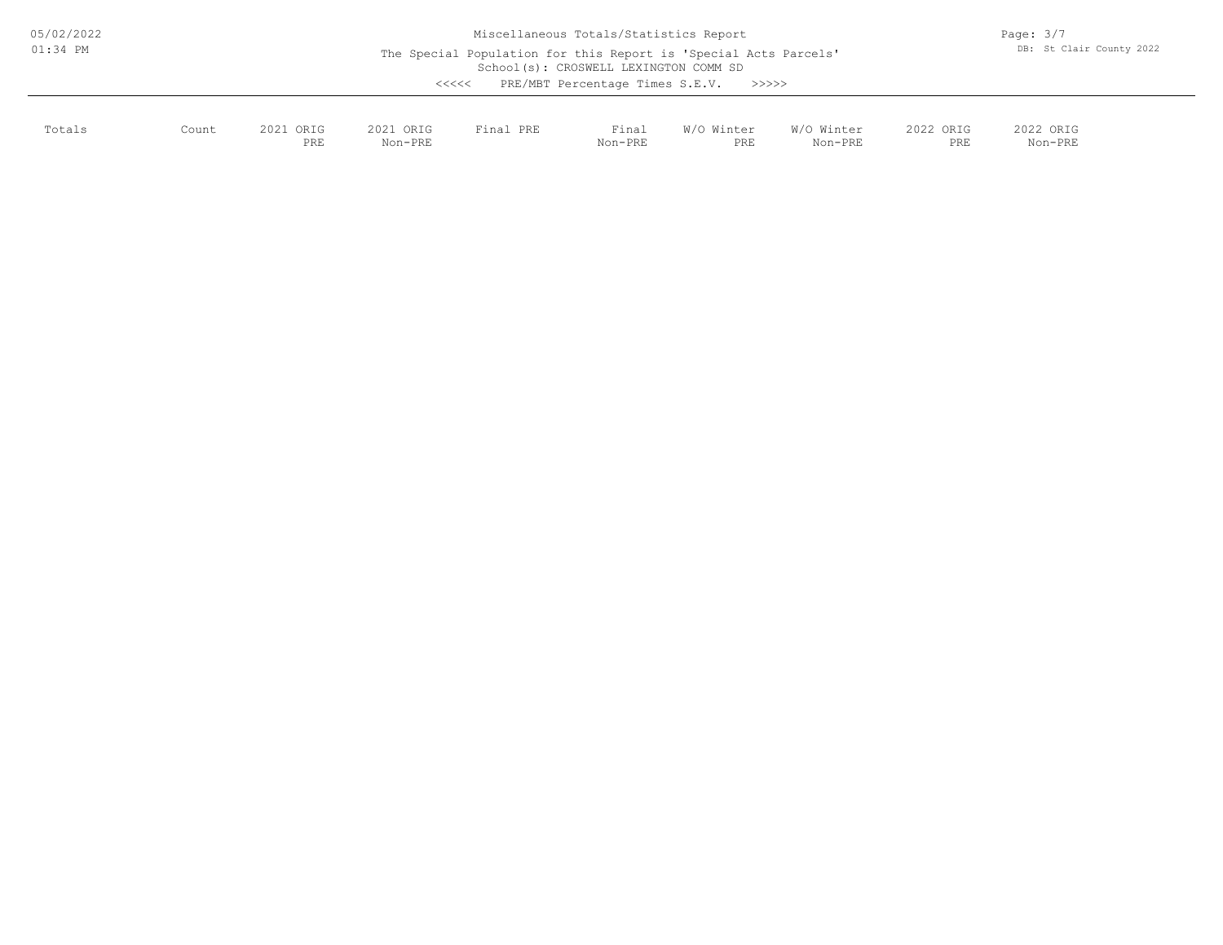| 05/02/2022<br>$01:34$ PM |       | Miscellaneous Totals/Statistics Report<br>The Special Population for this Report is 'Special Acts Parcels'<br>School(s): CROSWELL LEXINGTON COMM SD |                      |              |                  |                                       |                       |                  |                      |  |
|--------------------------|-------|-----------------------------------------------------------------------------------------------------------------------------------------------------|----------------------|--------------|------------------|---------------------------------------|-----------------------|------------------|----------------------|--|
|                          |       |                                                                                                                                                     |                      | $\prec$ <<<< |                  | PRE/MBT Percentage Times S.E.V. >>>>> |                       |                  |                      |  |
| Totals                   | Count | 2021 ORIG<br>PRE                                                                                                                                    | 2021 ORIG<br>Non-PRE | Final PRE    | Final<br>Non-PRE | W/O Winter<br>PRE                     | W/O Winter<br>Non-PRE | 2022 ORIG<br>PRE | 2022 ORIG<br>Non-PRE |  |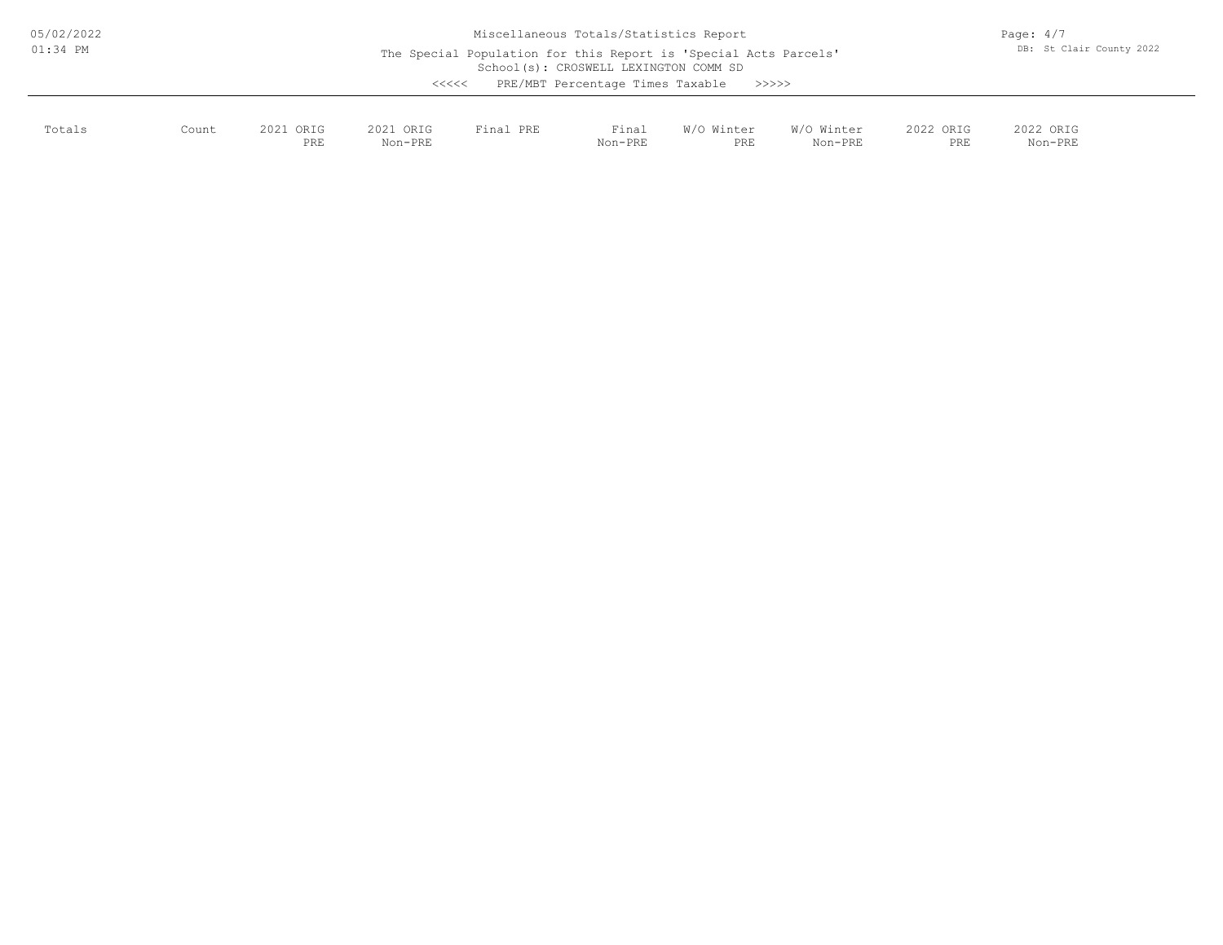| 05/02/2022<br>$01:34$ PM |       | Miscellaneous Totals/Statistics Report<br>The Special Population for this Report is 'Special Acts Parcels'<br>School(s): CROSWELL LEXINGTON COMM SD<br>PRE/MBT Percentage Times Taxable<br>>>>>><br><<<< |                      |           |                  |                   |                       |                  |                      | Page: $4/7$<br>DB: St Clair County 2022 |  |
|--------------------------|-------|----------------------------------------------------------------------------------------------------------------------------------------------------------------------------------------------------------|----------------------|-----------|------------------|-------------------|-----------------------|------------------|----------------------|-----------------------------------------|--|
| Totals                   | Count | 2021 ORIG<br>PRE                                                                                                                                                                                         | 2021 ORIG<br>Non-PRE | Final PRE | Final<br>Non-PRE | W/O Winter<br>PRE | W/O Winter<br>Non-PRE | 2022 ORIG<br>PRE | 2022 ORIG<br>Non-PRE |                                         |  |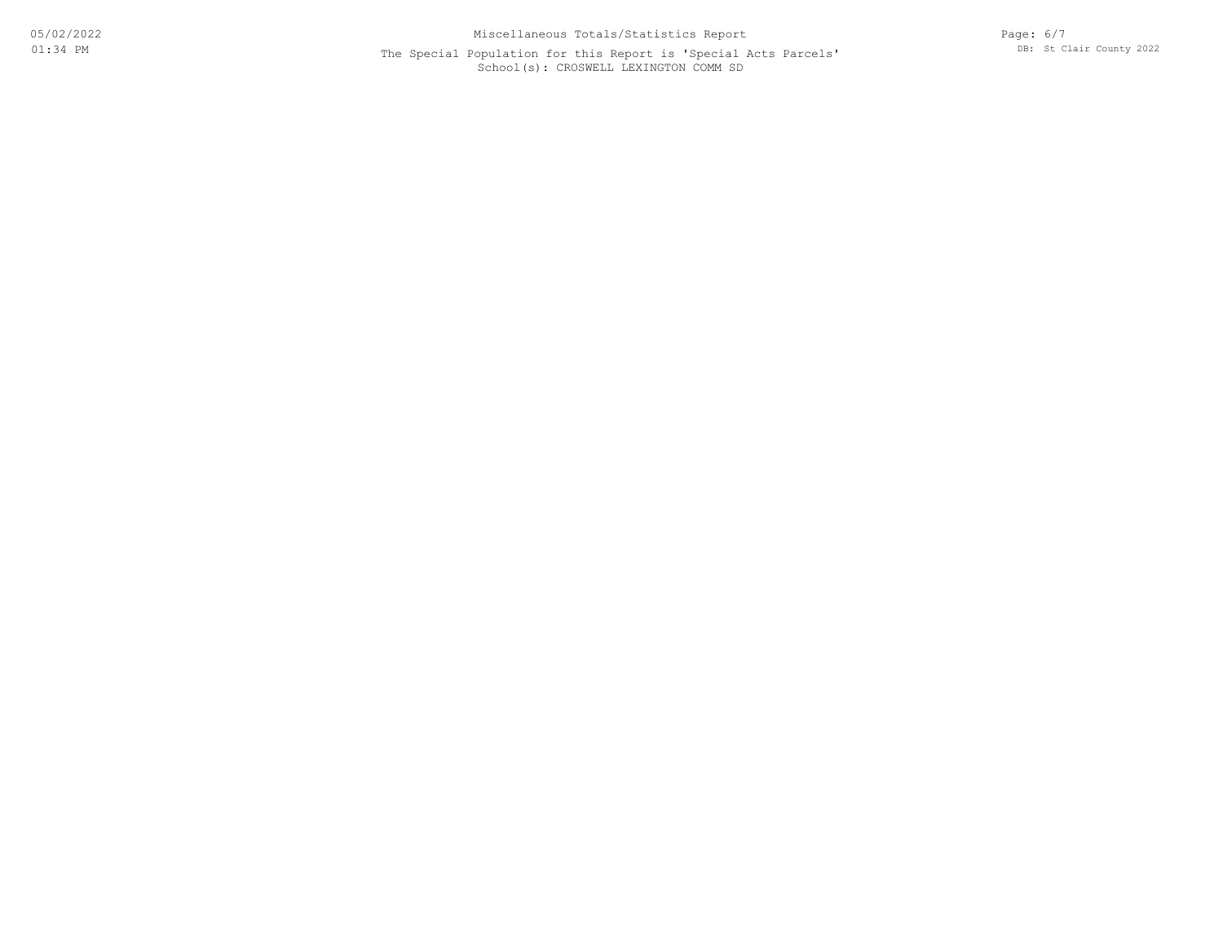## School(s): CROSWELL LEXINGTON COMM SD The Special Population for this Report is 'Special Acts Parcels'